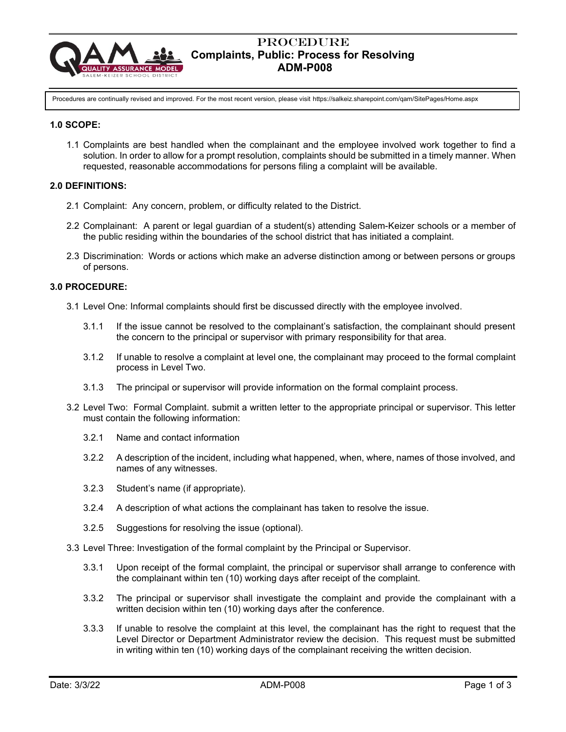

## Procedure  **Complaints, Public: Process for Resolving ADM-P008**

Procedures are continually revised and improved. For the most recent version, please visit https://salkeiz.sharepoint.com/qam/SitePages/Home.aspx

#### **1.0 SCOPE:**

1.1 Complaints are best handled when the complainant and the employee involved work together to find a solution. In order to allow for a prompt resolution, complaints should be submitted in a timely manner. When requested, reasonable accommodations for persons filing a complaint will be available.

## **2.0 DEFINITIONS:**

- 2.1 Complaint: Any concern, problem, or difficulty related to the District.
- 2.2 Complainant: A parent or legal guardian of a student(s) attending Salem-Keizer schools or a member of the public residing within the boundaries of the school district that has initiated a complaint.
- 2.3 Discrimination: Words or actions which make an adverse distinction among or between persons or groups of persons.

## **3.0 PROCEDURE:**

- 3.1 Level One: Informal complaints should first be discussed directly with the employee involved.
	- 3.1.1 If the issue cannot be resolved to the complainant's satisfaction, the complainant should present the concern to the principal or supervisor with primary responsibility for that area.
	- 3.1.2 If unable to resolve a complaint at level one, the complainant may proceed to the formal complaint process in Level Two.
	- 3.1.3 The principal or supervisor will provide information on the formal complaint process.
- 3.2 Level Two: Formal Complaint. submit a written letter to the appropriate principal or supervisor. This letter must contain the following information:
	- 3.2.1 Name and contact information
	- 3.2.2 A description of the incident, including what happened, when, where, names of those involved, and names of any witnesses.
	- 3.2.3 Student's name (if appropriate).
	- 3.2.4 A description of what actions the complainant has taken to resolve the issue.
	- 3.2.5 Suggestions for resolving the issue (optional).
- 3.3 Level Three: Investigation of the formal complaint by the Principal or Supervisor.
	- 3.3.1 Upon receipt of the formal complaint, the principal or supervisor shall arrange to conference with the complainant within ten (10) working days after receipt of the complaint.
	- 3.3.2 The principal or supervisor shall investigate the complaint and provide the complainant with a written decision within ten (10) working days after the conference.
	- 3.3.3 If unable to resolve the complaint at this level, the complainant has the right to request that the Level Director or Department Administrator review the decision. This request must be submitted in writing within ten (10) working days of the complainant receiving the written decision.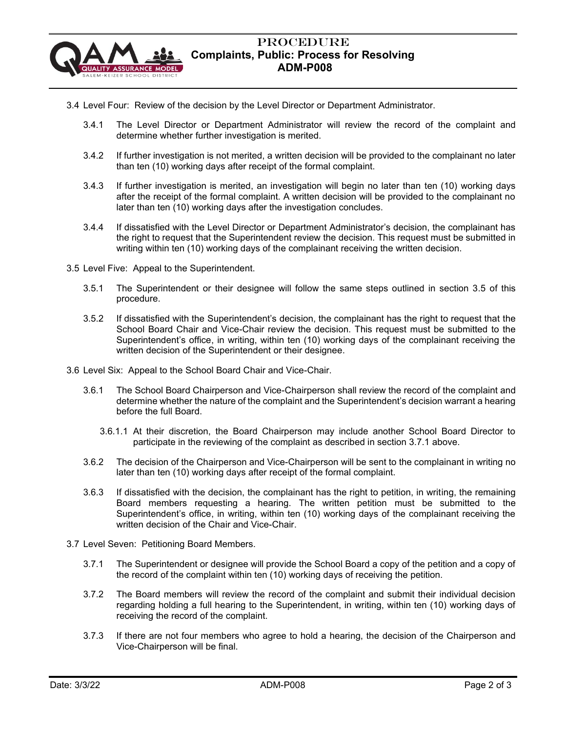

# Procedure  **Complaints, Public: Process for Resolving ADM-P008**

- 3.4 Level Four: Review of the decision by the Level Director or Department Administrator.
	- 3.4.1 The Level Director or Department Administrator will review the record of the complaint and determine whether further investigation is merited.
	- 3.4.2 If further investigation is not merited, a written decision will be provided to the complainant no later than ten (10) working days after receipt of the formal complaint.
	- 3.4.3 If further investigation is merited, an investigation will begin no later than ten (10) working days after the receipt of the formal complaint. A written decision will be provided to the complainant no later than ten (10) working days after the investigation concludes.
	- 3.4.4 If dissatisfied with the Level Director or Department Administrator's decision, the complainant has the right to request that the Superintendent review the decision. This request must be submitted in writing within ten (10) working days of the complainant receiving the written decision.
- 3.5 Level Five: Appeal to the Superintendent.
	- 3.5.1 The Superintendent or their designee will follow the same steps outlined in section 3.5 of this procedure.
	- 3.5.2 If dissatisfied with the Superintendent's decision, the complainant has the right to request that the School Board Chair and Vice-Chair review the decision. This request must be submitted to the Superintendent's office, in writing, within ten (10) working days of the complainant receiving the written decision of the Superintendent or their designee.
- 3.6 Level Six: Appeal to the School Board Chair and Vice-Chair.
	- 3.6.1 The School Board Chairperson and Vice-Chairperson shall review the record of the complaint and determine whether the nature of the complaint and the Superintendent's decision warrant a hearing before the full Board.
		- 3.6.1.1 At their discretion, the Board Chairperson may include another School Board Director to participate in the reviewing of the complaint as described in section 3.7.1 above.
	- 3.6.2 The decision of the Chairperson and Vice-Chairperson will be sent to the complainant in writing no later than ten (10) working days after receipt of the formal complaint.
	- 3.6.3 If dissatisfied with the decision, the complainant has the right to petition, in writing, the remaining Board members requesting a hearing. The written petition must be submitted to the Superintendent's office, in writing, within ten (10) working days of the complainant receiving the written decision of the Chair and Vice-Chair.
- 3.7 Level Seven: Petitioning Board Members.
	- 3.7.1 The Superintendent or designee will provide the School Board a copy of the petition and a copy of the record of the complaint within ten (10) working days of receiving the petition.
	- 3.7.2 The Board members will review the record of the complaint and submit their individual decision regarding holding a full hearing to the Superintendent, in writing, within ten (10) working days of receiving the record of the complaint.
	- 3.7.3 If there are not four members who agree to hold a hearing, the decision of the Chairperson and Vice-Chairperson will be final.